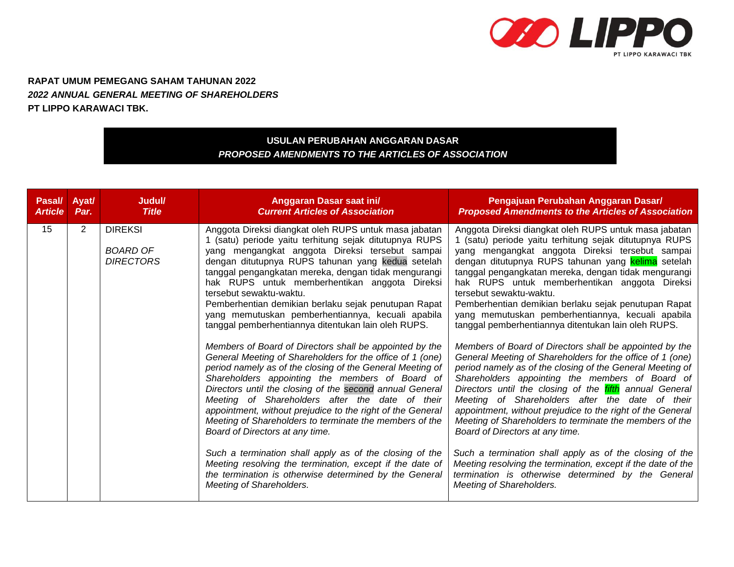

**RAPAT UMUM PEMEGANG SAHAM TAHUNAN 2022** *2022 ANNUAL GENERAL MEETING OF SHAREHOLDERS*  **PT LIPPO KARAWACI TBK.**

## **USULAN PERUBAHAN ANGGARAN DASAR** *PROPOSED AMENDMENTS TO THE ARTICLES OF ASSOCIATION*

| Pasal/         | Ayat/          | Judul/                                                | Anggaran Dasar saat ini/                                                                                                                                                                                                                                                                                                                                                                                                                                                                                                                                                                                                                                                                                                                                                                                                                                                                                                                                                                                                                                                                                                                                                                                                                                        | Pengajuan Perubahan Anggaran Dasar/                                                                                                                                                                                                                                                                                                                                                                                                                                                                                                                                                                                                                                                                                                                                                                                                                                                                                                                                                                                                                                                                                                                                                                                                                                    |
|----------------|----------------|-------------------------------------------------------|-----------------------------------------------------------------------------------------------------------------------------------------------------------------------------------------------------------------------------------------------------------------------------------------------------------------------------------------------------------------------------------------------------------------------------------------------------------------------------------------------------------------------------------------------------------------------------------------------------------------------------------------------------------------------------------------------------------------------------------------------------------------------------------------------------------------------------------------------------------------------------------------------------------------------------------------------------------------------------------------------------------------------------------------------------------------------------------------------------------------------------------------------------------------------------------------------------------------------------------------------------------------|------------------------------------------------------------------------------------------------------------------------------------------------------------------------------------------------------------------------------------------------------------------------------------------------------------------------------------------------------------------------------------------------------------------------------------------------------------------------------------------------------------------------------------------------------------------------------------------------------------------------------------------------------------------------------------------------------------------------------------------------------------------------------------------------------------------------------------------------------------------------------------------------------------------------------------------------------------------------------------------------------------------------------------------------------------------------------------------------------------------------------------------------------------------------------------------------------------------------------------------------------------------------|
| <b>Article</b> | Par.           | <b>Title</b>                                          | <b>Current Articles of Association</b>                                                                                                                                                                                                                                                                                                                                                                                                                                                                                                                                                                                                                                                                                                                                                                                                                                                                                                                                                                                                                                                                                                                                                                                                                          | <b>Proposed Amendments to the Articles of Association</b>                                                                                                                                                                                                                                                                                                                                                                                                                                                                                                                                                                                                                                                                                                                                                                                                                                                                                                                                                                                                                                                                                                                                                                                                              |
| 15             | $\overline{2}$ | <b>DIREKSI</b><br><b>BOARD OF</b><br><b>DIRECTORS</b> | Anggota Direksi diangkat oleh RUPS untuk masa jabatan<br>1 (satu) periode yaitu terhitung sejak ditutupnya RUPS<br>yang mengangkat anggota Direksi tersebut sampai<br>dengan ditutupnya RUPS tahunan yang kedua setelah<br>tanggal pengangkatan mereka, dengan tidak mengurangi<br>hak RUPS untuk memberhentikan anggota Direksi<br>tersebut sewaktu-waktu.<br>Pemberhentian demikian berlaku sejak penutupan Rapat<br>yang memutuskan pemberhentiannya, kecuali apabila<br>tanggal pemberhentiannya ditentukan lain oleh RUPS.<br>Members of Board of Directors shall be appointed by the<br>General Meeting of Shareholders for the office of 1 (one)<br>period namely as of the closing of the General Meeting of<br>Shareholders appointing the members of Board of<br>Directors until the closing of the second annual General<br>Meeting of Shareholders after the date of their<br>appointment, without prejudice to the right of the General<br>Meeting of Shareholders to terminate the members of the<br>Board of Directors at any time.<br>Such a termination shall apply as of the closing of the<br>Meeting resolving the termination, except if the date of<br>the termination is otherwise determined by the General<br>Meeting of Shareholders. | Anggota Direksi diangkat oleh RUPS untuk masa jabatan<br>1 (satu) periode yaitu terhitung sejak ditutupnya RUPS<br>yang mengangkat anggota Direksi tersebut sampai<br>dengan ditutupnya RUPS tahunan yang kelima setelah<br>tanggal pengangkatan mereka, dengan tidak mengurangi<br>hak RUPS untuk memberhentikan anggota Direksi<br>tersebut sewaktu-waktu.<br>Pemberhentian demikian berlaku sejak penutupan Rapat<br>yang memutuskan pemberhentiannya, kecuali apabila<br>tanggal pemberhentiannya ditentukan lain oleh RUPS.<br>Members of Board of Directors shall be appointed by the<br>General Meeting of Shareholders for the office of 1 (one)<br>period namely as of the closing of the General Meeting of<br>Shareholders appointing the members of Board of<br>Directors until the closing of the <i>fifth</i> annual General<br>Meeting of Shareholders after the date of their<br>appointment, without prejudice to the right of the General<br>Meeting of Shareholders to terminate the members of the<br>Board of Directors at any time.<br>Such a termination shall apply as of the closing of the<br>Meeting resolving the termination, except if the date of the<br>termination is otherwise determined by the General<br>Meeting of Shareholders. |